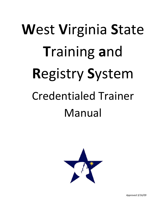# **W**est **V**irginia **S**tate **T**raining **a**nd **R**egistry **S**ystem Credentialed Trainer Manual



*Approved 3/16/09*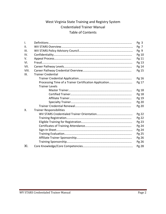# West Virginia State Training and Registry System Credentialed Trainer Manual Table of Contents

| I.    |                                                        | Pg <sub>3</sub> |
|-------|--------------------------------------------------------|-----------------|
| II.   |                                                        | Pg 7            |
| III.  |                                                        | Pg 9            |
| IV.   |                                                        | Pg 10           |
| V.    |                                                        | Pg 11           |
| VI.   |                                                        | Pg 13           |
| VII.  |                                                        | Pg 14           |
| VIII. |                                                        | Pg 15           |
| IX.   | <b>Trainer Credential</b>                              |                 |
|       |                                                        | Pg 16           |
|       | Processing Time of a Trainer Certification Application | Pg 17           |
|       | <b>Trainer Levels</b>                                  |                 |
|       |                                                        | Pg 18           |
|       |                                                        | Pg 18           |
|       |                                                        | Pg 19           |
|       |                                                        | Pg 20           |
|       |                                                        | Pg 20           |
| Χ.    | <b>Trainer Responsibilities</b>                        |                 |
|       |                                                        | Pg 22           |
|       |                                                        | Pg 22           |
|       |                                                        | Pg 23           |
|       |                                                        | Pg 24           |
|       |                                                        | Pg 24           |
|       |                                                        | Pg 25           |
|       |                                                        | Pg 26           |
|       |                                                        | Pg 26           |
| XI.   |                                                        | Pg 28           |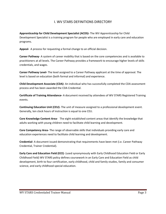## I. WV STARS DEFINITIONS DIRECTORY

**Apprenticeship for Child Development Specialist (ACDS)‐** The WV Apprenticeship for Child Development Specialist is a training program for people who are employed in early care and education programs.

**Appeal‐** A process for requesting a formal change to an official decision.

**Career Pathway**‐ A system of career mobility that is based on the core competencies and is available to practitioners at all levels. The Career Pathway provides a framework to encourage higher levels of skills credentials, and wages.

**Career Pathway Level‐** The level assigned to a Career Pathway applicant at the time of approval. The level is based on education (both formal and informal) and experience.

**Child Development Associate (CDA)‐** An individual who has successfully completed the CDA assessment process and has been awarded the CDA Credential.

**Certificate of Training Attendance‐** A document received by attendees of WV STARS Registered Training events.

**Continuing Education Unit (CEU)‐** The unit of measure assigned to a professional development event. Generally, ten clock hours of instruction is equal to one CEU.

**Core Knowledge Content Area‐** The eight established content areas that identify the knowledge that adults working with young children need to facilitate child learning and development.

**Core Competency Area‐** The range of observable skills that individuals providing early care and education experiences need to facilitate child learning and development.

**Credential‐** A document issued demonstrating that requirements have been met (i.e. Career Pathway Credential, Trainer Credential).

**Early Care and Education Field (ECE)**‐ (used synonymously with Early Childhood Education Field or Early Childhood Field) WV STARS policy defines coursework in an Early Care and Education Field as child development, birth to four certification, early childhood, child and family studies, family and consumer science, and early childhood special education.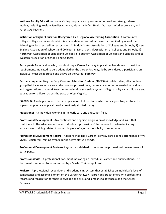**In‐Home Family Education**‐ Home visiting programs using community‐based and strength‐based models, including Healthy Families America, Maternal Infant Health Outreach Worker program, and Parents As Teachers.

**Institution of Higher Education Recognized by a Regional Accrediting Association‐** A community college, college, or university which is a candidate for accreditation or is accredited by one of the following regional accrediting association: 1) Middle States Association of Colleges and Schools, 2) New England Association of Schools and Colleges, 3) North Central Association of Colleges and Schools, 4) Northwest Association of School and Colleges, 5) Southern Association of Colleges and Schools, and 6) Western Association of Schools and Colleges.

**Participant**‐ An individual who, by submitting a Career Pathway Application, has shown to meet the requirements indicated to be credentialed on the Career Pathway. To be considered a participant, an individual must be approved and active on the Career Pathway.

**Partners Implementing the Early Care and Education System (PIECES)‐** A collaborative, all‐volunteer group that includes early care and education professionals, parents , and other interested individuals and organizations that work together to maintain a statewide system of high quality early child care and education for children across the state of West Virginia.

**Practicum‐** A college course, often in a specialized field of study, which is designed to give students supervised practical application of a previously studied theory.

**Practitioner**‐ An individual working in the early care and education field.

**Professional Development**‐ Any continual and ongoing progression of knowledge and skills that contribute to the advancement of an individual's profession. Often referred to when indicating education or training related to a specific piece of a job responsibility or requirement.

**Professional Development Record‐** A record that lists a Career Pathway participant's attendance of WV STARS Registered Training events during active status periods.

**Professional Development System‐** A system established to improve the professional development of participants.

**Professional Vita‐** A professional document indicating an individual's career and qualifications. This document is required to be submitted by a Master Trainer applicant.

**Registry**‐ A professional recognition and credentialing system that establishes an individual's level of competence and accomplishment on the Career Pathway. It provides practitioners with professional records and recognition for their knowledge and skills and a means to advance along the Career Pathway.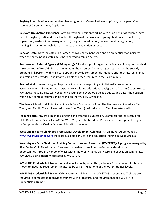**Registry Identification Number‐** Number assigned to a Career Pathway applicant/participant after receipt of Career Pathway Application.

**Relevant Occupation Experience**‐ Any professional position working with or on behalf of children, ages birth through eight (8) and their families through a) direct work with young children and families; b) supervision, leadership or management; c) program coordination, development or regulation; d) training, instruction or technical assistance; or e) evaluation or research.

**Renewal Date‐** Date indicated in a Career Pathway participant's file and on credential that indicates when the participant's status must be renewed to remain active.

**Resource and Referral Agency (R&R Agency)‐** A local nonprofit organization involved in supporting child care services. In West Virginia, at a minimum, the resource & referral agencies manage the subsidy program, link parents with child care options, provide consumer information, offer technical assistance and training to providers, and inform parents of other resources in their community.

**Résumé ‐**A document designed to provide information regarding an individual's professional accomplishments, including work experience, skills and educational background. A résumé submitted to WV STARS must indicate work experience listing employer, job title, job duties, and dates the position was held. A sample résumé can be found on the WV STARS website.

**Tier Level‐** A level of skills indicated in each Core Competency Area. The tier levels indicated are Tier I, Tier II, and Tier III. The skill level advances from Tier I (basic skills) up to Tier III (mastery skills).

**Training Series‐**Any training that is ongoing and offered in succession. Examples: Apprenticeship for Child Development Specialist (ACDS), West Virginia Infant/Toddler Professional Development Program, or Components for Quality Care and Education modules.

**West Virginia Early Childhood Professional Development Calendar‐** An online resource found at www.wvearlychildhood.org that lists available early care and education training in West Virginia.

**West Virginia Early Childhood Training Connections and Resources (WVECTCR)‐** A program managed by River Valley Child Development Services that assists in providing professional development opportunities through a variety of ways within the West Virginia early care and education community. WV STARS is one program operated by WVECTCR.

**WV STARS Credentialed Trainer**‐ An individual who, by submitting a Trainer Credential Application, has shown to meet the requirements indicated by WV STARS for one of the four (4) trainer levels.

**WV STARS Credentialed Trainer Orientation‐** A training that all WV STARS Credentialed Trainers are required to complete that provides trainers with procedures and requirements of a WV STARS Credentialed Trainer.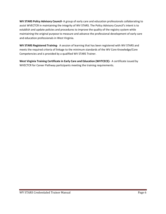**WV STARS Policy Advisory Council‐** A group of early care and education professionals collaborating to assist WVECTCR in maintaining the integrity of WV STARS. The Policy Advisory Council's intent is to establish and update policies and procedures to improve the quality of the registry system while maintaining the original purpose to measure and advance the professional development of early care and education professionals in West Virginia.

**WV STARS Registered Training**‐ A session of learning that has been registered with WV STARS and meets the required criteria of linkage to the minimum standards of the WV Core Knowledge/Core Competencies and is provided by a qualified WV STARS Trainer.

**West Virginia Training Certificate in Early Care and Education (WVTCECE)‐** A certificate issued by WVECTCR for Career Pathway participants meeting the training requirements.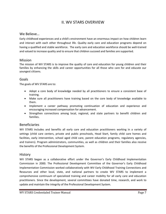# II. WV STARS OVERVIEW

#### We Believe…

Early childhood experiences and a child's environment have an enormous impact on how children learn and interact with each other throughout life. Quality early care and education programs depend on having a qualified and stable workforce. The early care and education workforce should be well‐trained and valued to increase quality and to ensure that children succeed and families are supported.

#### Mission

The mission of WV STARS is to improve the quality of care and education for young children and their families by enhancing the skills and career opportunities for all those who care for and educate our youngest citizens.

#### Goals

The goals of WV STARS are to:

- Adopt a core body of knowledge needed by all practitioners to ensure a consistent base of training.
- Make sure all practitioners have training based on the core body of knowledge available to them.
- Implement a career pathway promoting continuation of education and experience and encouraging increased compensation for advancement.
- Strengthen connections among local, regional, and state partners to benefit children and families.

#### Beneficiaries

WV STARS includes and benefits all early care and education practitioners working in a variety of settings (child care centers, private and public preschools, Head Start, family child care homes and facilities, early intervention, school aged child care, parent education programs, regulatory agencies, and trainers). Program administrators, communities, as well as children and their families also receive the benefits of the Professional Development System.

#### History

WV STARS began as a collaborative effort under the Governor's Early Childhood Implementation Commission in 2000. The Professional Development Committee of the Governor's Early Childhood Implementation Commission worked collaboratively with WV Early Childhood Training Connections and Resources and other local, state, and national partners to create WV STARS to implement a comprehensive continuum of specialized training and career mobility for all early care and education practitioners*.* Since the development, several committees have donated time, research, and work to update and maintain the integrity of the Professional Development System.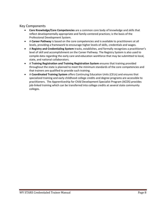#### Key Components

- **Core Knowledge/Core Competencies** are a common core body of knowledge and skills that reflect developmentally appropriate and family‐centered practices; is the basis of the Professional Development System.
- A **Career Pathway** is based on the core competencies and is available to practitioners at all levels, providing a framework to encourage higher levels of skills, credentials and wages.
- A **Registry and Credentialing System** tracks, establishes, and formally recognizes a practitioner's level of skill and accomplishment on the Career Pathway. The Registry System is also used to compile data regarding the early care and education workforce that may be submitted to local, state, and national collaborators.
- A **Training Registration and Training Registration System** ensures that training provided throughout the state is planned to meet the minimum standards of the core competencies and that trainers are qualified to provide such training.
- A **Coordinated Training System** offers Continuing Education Units (CEUs) and ensures that specialized training and early childhood college credits and degree programs are accessible to practitioners. The Apprenticeship for Child Development Specialist Program (ACDS) provides job-linked training which can be transferred into college credits at several state community colleges.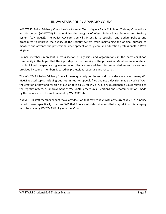## III. WV STARS POLICY ADVISORY COUNCIL

WV STARS Policy Advisory Council exists to assist West Virginia Early Childhood Training Connections and Resources (WVECTCR) in maintaining the integrity of West Virginia State Training and Registry System (WV STARS). The Policy Advisory Council's intent is to establish and update policies and procedures to improve the quality of the registry system while maintaining the original purpose to measure and advance the professional development of early care and education professionals in West Virginia.

Council members represent a cross‐section of agencies and organizations in the early childhood community in the hopes that the input depicts the diversity of the profession. Members collaborate so that individual perspective is given and one collective voice advises. Recommendations and advisement provided by council members is based on professional expertise and research.

The WV STARS Policy Advisory Council meets quarterly to discuss and make decisions about many WV STARS related topics including but not limited to: appeals filed against a decision made by WV STARS, the creation of new and revision of out‐of‐date policy for WV STARS, any questionable issues relating to the registry system, or improvement of WV STARS procedures. Decisions and recommendations made by the council are to be implemented by WVECTCR staff.

A WVECTCR staff member cannot make any decision that may conflict with any current WV STARS policy or not covered specifically in current WV STARS policy. All determinations that may fall into this category must be made by WV STARS Policy Advisory Council.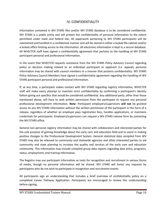## IV. CONFIDENTIALITY

Information contained in WV STARS files and/or WV STARS database is to be considered confidential. WV STARS is a public entity and will protect the confidentiality of personal information to the extent permitted under state and federal law. All paperwork pertaining to WV STARS participants will be maintained and handled in a confidential manner and will be stored in either a locked file cabinet and/or a locked office limiting access to the information. All electronic information is kept in a secure database. All WVECTCR staff have signed a confidentiality agreement that pertains to the handling of WV STARS participant personal and professional information.

In the event that WVECTCR requests assistance from the WV STARS Policy Advisory Council regarding policy or decision making related to an individual participant or applicant (i.e. appeal), personal information may be shared with council members in a manner that protects confidentiality. WV STARS Policy Advisory Council Members have signed a confidentiality agreement regarding the handling of WV STARS participant personal and professional information.

If, at any time, a participant makes contact with WV STARS regarding registry information, WVECTCR staff will make every attempt to maintain strict confidentiality by confirming a participant's identity before giving out specifics that would be considered confidential. Any additional party, other than those mentioned above, will have to seek written permission from the participant to request any personal professional development information. **Note**: Participant employers/supervisors **will not** be granted access to any WV STARS information without the written permission of the participant in the form of a release, regardless of whether an employer pays registration fees, handles applications, or maintains credentials for participants. Employers/supervisors can request a WV STARS release form by contacting the WV STARS office.

General non‐personal registry information may be shared with collaborators and interested parties for the sole purpose of gaining knowledge about the early care and education field and to assist in making positive changes to the Professional Development System. General statistical data compiled from WV STARS may also be released to community and statewide agencies and other interested parties to aid community and state planning to increase the quality and services of the early care and education community. This information may include compiled group data reports regarding data entry, programs, status, employment, and training information.

The Registry may use participant information as tools for recognition and recruitment in various forms of media, though no personal information will be shared. WV STARS will honor any requests by participants who do not wish to participate in recognition and recruitment events.

All participants sign an understanding that includes a brief overview of confidentiality policy on a completed Career Pathway Application. Participants are encouraged to review this understanding before signing.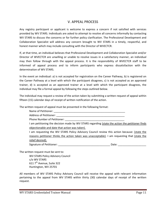#### V. APPEAL PROCESS

Any registry participant or applicant is welcome to express a concern if not satisfied with services provided by WV STARS. Individuals are asked to attempt to resolve all concerns informally by contacting WV STARS to discuss the concerns or for further policy clarification. The Professional Development and Collaboration Specialist will address any concern brought to WV STARS in a timely, respectful, and honest manner which may include consulting with the Director of WVECTCR.

If, at that time, an individual believes that Professional Development and Collaboration Specialist and/or Director of WVECTCR are unwilling or unable to resolve issues in a satisfactory manner, an individual may then follow through with the appeal process. It is the responsibility of WVECTCR staff to be informed of appeal process and to inform participants who express dissatisfaction with the determination of WV STARS.

In the event an individual: a) is not accepted for registration on the Career Pathway, b) is registered on the Career Pathway at a level with which the participant disagrees, c) is not accepted as an approved trainer, d) is accepted as an approved trainer at a level with which the participant disagrees, the individual may file a formal appeal by following the steps outlined below.

The individual may request a review of the action taken by submitting a written request of appeal within fifteen (15) calendar days of receipt of written notification of the action.

The written request of appeal must be presented in the following format:

Name of Petitioner:

Address of Petitioner:

Phone Number of Petitioner:

I am petitioning the decision made by WV STARS regarding (state the action the petitioner finds objectionable and date that action was taken).

I am requesting the WV STARS Policy Advisory Council review this action because: (state the reasons petitioner thinks the action taken was unacceptable). I am requesting that (state the relief desired).

Signature of Petitioner:  $\Box$  Date:  $\Box$  Date:  $\Box$ 

The written request must be sent to:

WV STARS Policy Advisory Council c/o WV STARS 611 7<sup>th</sup> Avenue, Suite 322 Huntington, WV 25701

All members of WV STARS Policy Advisory Council will receive the appeal with relevant information pertaining to the appeal from WV STARS within thirty (30) calendar days of receipt of the written request.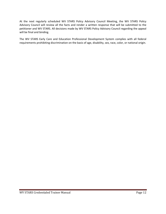At the next regularly scheduled WV STARS Policy Advisory Council Meeting, the WV STARS Policy Advisory Council will review all the facts and render a written response that will be submitted to the petitioner and WV STARS. All decisions made by WV STARS Policy Advisory Council regarding the appeal will be final and binding.

The WV STARS Early Care and Education Professional Development System complies with all federal requirements prohibiting discrimination on the basis of age, disability, sex, race, color, or national origin.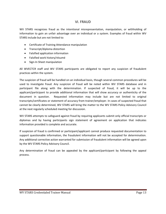#### VI. FRAUD

WV STARS recognizes fraud as the intentional misrepresentation, manipulation, or withholding of information to gain an unfair advantage over an individual or a system. Examples of fraud within WV STARS include but are not limited to:

- Certificate of Training Attendance manipulation
- Transcript/diploma distortion
- Falsified application information
- Falsified work history/résumé
- Sign-In Sheet manipulation

All WVECTCR staff and WV STARS participants are obligated to report any suspicion of fraudulent practices within the system.

The suspicion of fraud will be handled on an individual basis, though several common procedures will be used to investigate fraud. Any suspicion of fraud will be noted within WV STARS database and in participant file along with the determination. If suspected of fraud, it will be up to the applicant/participant to provide additional information that will show accuracy or authenticity of the document in question. Requested information may include but are not limited to original transcripts/certificates or statement of accuracy from trainer/employer. In cases of suspected fraud that cannot be clearly determined, WV STARS will bring the matter to the WV STARS Policy Advisory Council at the next regularly scheduled meeting for discussion.

WV STARS attempts to safeguard against fraud by requiring applicants submit only official transcripts or diplomas and by having participants sign statement of agreement on application that indicates information provided is complete and accurate.

If suspicion of fraud is confirmed or participant/applicant cannot produce requested documentation to support questionable information, the fraudulent information will not be accepted for determination. Any additional corrective action warranted for submission of fraudulent information will be agreed upon by the WV STARS Policy Advisory Council.

Any determination of fraud can be appealed by the applicant/participant by following the appeal process.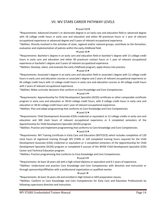## VII. WV STARS CAREER PATHWAY LEVELS

#### $\star$  Level VIII $\star$

\*Requirements: Advanced (master's or doctorate) degree in an early care and education field or advanced degree with 18 college credit hours in early care and education and either 90 practicum hours or 1 year of relevant occupational experience or advanced degree and 5 years of relevant occupational experience.

\*Abilities: Directly involved in the activities of state, regional and/or national groups; contribute to the formation, evaluation and implementation of policies within the early childhood field.

#### **★Level VII★**

\*Requirements: Bachelor's degree in an early care and education field or bachelor's degree with 15 college credit hours in early care and education and either 90 practicum contact hours or 1 year of relevant occupational experience or bachelor's degree and 3 years of relevant occupational experience.

\*Abilities: Develop, select, and evaluate the early childhood program; apply theory into practice.

#### **★Level VI★**

\*Requirements: Associate's degree in an early care and education field or associate's degree with 12 college credit hours in early care and education courses or associate's degree and 2 years of relevant occupational experience or 64 college credit hours with 12 college credit hours in early care and education courses or 64 college credit hours with 2 years of relevant occupational experience.

\*Abilities: Make curricular decisions that conform to Core Knowledge and Core Competencies.

#### ★Level V★

\*Requirements: Apprenticeship for Child Development Specialist (ACDS) certificate or other comparable certificate program in early care and education or 28‐63 college credit hours, with 9 college credit hours in early care and education or 28‐63 college credit hours and 1 year of relevant occupational experience.

\*Abilities: Plan and adapt programming that conforms to Core Knowledge and Core Competencies.

#### ★Level IV★

\*Requirements: Child Development Associate (CDA) credential or equivalent or 12 college credits in early care and education and 300 clock hours of relevant occupational experience or 4 completed semesters of the Apprenticeship for Child Development Specialist (ACDS) program.

\*Abilities: Practice and implement programming that conforms to Core Knowledge and Core Competencies.

#### $\star$ Level III $\star$

\*Requirements: WV Training Certificate in Early Care and Education (WVTCECE) which includes completion of 120 clock hours of registered training through WV STARS or 120 completed training hours required for the Child Development Associate (CDA) credential or equivalent or 3 completed semesters of the Apprenticeship for Child Development Specialist (ACDS) program or completed 4 courses of the WVDE Child Development Specialist (CDS) Career and Technical Education program.

\*Abilities: Practice programming that conforms to Core Knowledge and Core Competencies.

#### $\star$  Level II $\star$

\*Requirements: At least 18 years old with a high school diploma or equivalent and 0‐1 years of experience.

\*Abilities: Understand and practice Core Knowledge and Core Competencies with direction and instruction or through sponsorship/affiliation with a professional organization or qualified mentor.

#### **★Level I★**

\*Requirements: At least 16 years old and enrolled in High School or GED preparation classes.

\*Abilities: Conform to Core Knowledge and Core Competencies for Early Care and Education Professionals by following supervisory direction and instruction.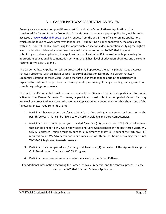## VIII. CAREER PATHWAY CREDENTIAL OVERVIEW

An early care and education practitioner must first submit a Career Pathway Application to be considered for Career Pathway Credential. A practitioner can submit a paper application, which can be accessed at www.earlychildhood.org or by request from the WV STARS office, or online application, which can be found at www.wvearlychildhood.org. If submitting a paper application, the application, with a \$15 non-refundable processing fee, appropriate educational documentation verifying the highest level of education obtained, and a current résumé, must be submitted to WV STARS by mail. If submitting an online application, the applicant must still submit a \$15 non-refundable processing fee, appropriate educational documentation verifying the highest level of education obtained, and a current résumé, to WV STARS by mail.

The Career Pathway Application will be processed and, if approved, the participant is issued a Career Pathway Credential with an individualized Registry Identification Number. The Career Pathway Credential is issued for three years. During the three year credentialing period, the participant is expected to continue their professional development by attending CEUs by attending training events or completing college coursework.

The participant's credential must be renewed every three (3) years in order for a participant to remain active on the Career Pathway. To renew, a participant must submit a completed Career Pathway Renewal or Career Pathway Level Advancement Application with documentation that shows one of the following renewal requirements are met:

- 1. Participant has completed and/or taught at least three college credit semester hours during the past three years that can be linked to WV Core Knowledge and Core Competencies.
- 2. Participant has completed and/or provided forty‐five (45) contact hours (4.5 CEUs) of training that can be linked to WV Core Knowledge and Core Competencies in the past three years. WV STARS Registered Training must account for a minimum of thirty (30) hours of the forty‐five (45) required hours. WV STARS can consider a maximum of fifteen (15) hours of training that is not WV STARS Registered towards renewal.
- 3. Participant has completed and/or taught at least one (1) semester of the Apprenticeship for Child Development Specialists (ACDS) Program.
- 4. Participant meets requirements to advance a level on the Career Pathway.

For additional information regarding the Career Pathway Credential and the renewal process, please refer to the WV STARS Career Pathway Application.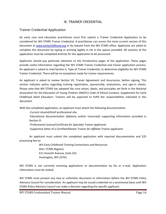## IX. TRAINER CREDENTIAL

## Trainer Credential Application

An early care and education practitioner must first submit a Trainer Credential Application to be considered for WV STARS Trainer Credential. A practitioner can access the most current version of this document at www.earlychildhood.org or by request from the WV STARS office. Applicants are asked to complete this document by typing or printing legibly in ink in the spaces provided. All sections of the application must be completed entirely for the application to be processed.

Applicants should pay particular attention to the introductory pages of the application. These pages provide useful information regarding the WV STARS Trainer Credential and trainer application process. An applicant is asked to read Section II, Type of Trainer Credential, to determine eligibility for WV STARS Trainer Credential. There will be no exceptions made for trainer requirements.

An applicant is asked to review Section VII, Trainer Agreement and Assurances, before signing. This section indicates policy regarding training registration, sponsorship, evaluations, and sign-in sheets. Please note that WV STARS has adopted the core values, ideals, and principles set forth in the National Association for the Education of Young Children (NAEYC) Code of Ethical Conduct, Supplement for Early Childhood Adult Educators. Trainers will be expected to fulfill the responsibilities indicated in this document.

With the completed application, an applicant must attach the following documentation:

‐Current résumé/brief professional vita

‐Educational documentation (diploma and/or transcript) supporting information provided in Section III

‐Professional License/Certificate *for Specialty Trainer applicants*

‐Supportive letter of a Certified/Master Trainer *for Affiliate Trainer applicants*

An applicant must submit the completed application with required documentation and \$25 processing fee to:

> WV Early Childhood Training Connections and Resources Attn: STARS Registry 611 Seventh Avenue, Suite 322 Huntington, WV 25701

WV STARS is not currently receiving applications or documentation by fax or e-mail. Application information must be mailed.

WV STARS must present any new or unfamiliar document or information before the WV STARS Policy Advisory Council for consideration. An applicant may be issued credential on a provisional basis until WV STARS Policy Advisory Council can make a decision regarding the specific applicant.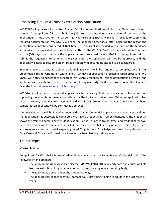# Processing Time of a Trainer Certification Application

WV STARS will process all submitted Trainer Certification Applications within sixty (60) business days of receipt. If the applicant fails to submit the \$25 processing fee, does not complete all portions of the application, is not active on the Career Pathway (excluding Specialty Trainers), or fails to submit the required documentation, WV STARS will send the applicant a feedback letter indicating the reason the application cannot be considered at that time. The applicant is provided with a date on the feedback letter which the requested items must be submitted to the WV STARS office for consideration. This date is sixty (60) days from the date the application was processed by WV STARS. If the applicant fails to submit the requested items within the given date, the application will not be approved, and the applicant will need to resubmit an entire application with documents and fee to be considered.

Beginning July 1, 2009, all trainer credential applicants will be required to complete WV STARS Credentialed Trainer Orientation within ninety (90) days of application processing. Upon processing, WV STARS will notify an applicant of scheduled WV STARS Credentialed Trainer Orientations offered or the applicant can search for sessions on the West Virginia Early Childhood Professional Development Calendar found at www.wvearlychildhood.org.

WV STARS will process completed applications by indicating that the application information and supporting documentation meets the criteria for the indicated trainer level. When an application has been processed, a trainer level assigned and WV STARS Credentialed Trainer Orientation has been completed, an applicant will be considered approved.

A trainer credential will be issued as soon as the Trainer Credential Application has been approved and the application has successfully completed WV STARS Credentialed Trainer Orientation. The credential shows the trainer's name, Registry Identification Number, assigned trainer type, and credential renewal date. The trainer will be immediately mailed the trainer credential, a copy of signed Trainer Agreement and Assurances, and a booklet explaining West Virginia Core Knowledge and Core Competencies for Early Care and Education Professionals to refer to when planning training events.

# Trainer Types

#### Master Trainer

An applicant for WV STARS Trainer Credential may be awarded a Master Trainer Credential if **all** of the following criteria are met:

- The applicant holds an Advanced Degree (MA/MS, PhD/EdD) in an early care and education field from an institution of higher education recognized by a regional accrediting body.
- The applicant is a Level VIII on the Career Pathway.
- The applicant has logged sixty (60) contact hours providing training to adults in the last three (3) years.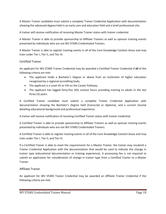A Master Trainer candidate must submit a complete Trainer Credential Application with documentation showing the advanced degree held in an early care and education field and a brief professional vita.

A trainer will receive notification of receiving Master Trainer status with trainer credential.

A Master Trainer is able to provide sponsorship to Affiliate Trainers as well as sponsor training events presented by individuals who are not WV STARS Credentialed Trainers.

A Master Trainer is able to register training events in all of the Core Knowledge Content Areas and may train under Tier I, Tier II, and Tier III.

#### Certified Trainer

An applicant for WV STARS Trainer Credential may be awarded a Certified Trainer Credential if **all** of the following criteria are met:

- The applicant holds a Bachelor's Degree or above from an institution of higher education recognized by a regional accrediting body.
- The applicant is a Level VII or VIII on the Career Pathway.
- The applicant has logged forty-five (45) contact hours providing training to adults in the last three (3) years.

A Certified Trainer candidate must submit a complete Trainer Credential Application with documentation showing the Bachelor's Degree held (transcript or diploma), and a current résumé detailing educational background and professional experience.

A trainer will receive notification of receiving Certified Trainer status with trainer credential.

A Certified Trainer is able to provide sponsorship to Affiliate Trainers as well as sponsor training events presented by individuals who are not WV STARS Credentialed Trainers.

A Certified Trainer is able to register training events in all of the Core Knowledge Content Areas and may train under Tier I, Tier II, and Tier III.

If a Certified Trainer is able to meet the requirements for a Master Trainer, the trainer may resubmit a Trainer Credential Application with the documentation that would be used to indicate the change in trainer type (educational documentation or training experience). A processing fee is not required to submit an application for consideration of change in trainer type from a Certified Trainer to a Master Trainer.

#### Affiliate Trainer

An applicant for WV STARS Trainer Credential may be awarded an Affiliate Trainer Credential if the following criteria are met: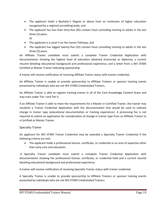- The applicant holds a Bachelor's Degree or above from an institution of higher education recognized by a regional accrediting body, and
- The applicant has less than forty-five (45) contact hours providing training to adults in the last three (3) years.
	- Or
- The applicant is a Level V on the Career Pathway, and
- The applicant has logged twenty-five (25) contact hours providing training to adults in the last three (3) years.

An Affiliate Trainer candidate must submit a complete Trainer Credential Application with documentation showing the highest level of education obtained (transcript or diploma), a current résumé detailing educational background and professional experience, and a letter from a WV STARS Certified or Master Trainer indicating sponsorship.

A trainer will receive notification of receiving Affiliate Trainer status with trainer credential.

An Affiliate Trainer is unable to provide sponsorship to Affiliate Trainers or sponsor training events presented by individuals who are not WV STARS Credentialed Trainers.

An Affiliate Trainer is able to register training events in all of the Core Knowledge Content Areas and may train under Tier I and Tier II.

If an Affiliate Trainer is able to meet the requirements for a Master or Certified Trainer, the trainer may resubmit a Trainer Credential Application with the documentation that would be used to indicate change in trainer type (educational documentation or training experience). A processing fee is not required to submit an application for consideration of change in trainer type from an Affiliate Trainer to a Certified or Master Trainer.

#### Specialty Trainer

An applicant for WV STARS Trainer Credential may be awarded a Specialty Trainer Credential if the following criteria are met:

• The applicant holds a professional license, certificate, or credential in an area of expertise other than early care and education.

A Specialty Trainer candidate must submit a complete Trainer Credential Application with documentation showing the professional license, certificate, or credential held and a current résumé detailing educational background and professional experience.

A trainer will receive notification of receiving Specialty Trainer status with trainer credential.

A Specialty Trainer is unable to provide sponsorship to Affiliate Trainers or sponsor training events presented by individuals who are not WV STARS Credentialed Trainers.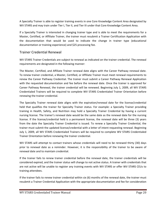A Specialty Trainer is able to register training events in one Core Knowledge Content Area designated by WV STARS and may train under Tier I, Tier II, and Tier III under that Core Knowledge Content Area.

If a Specialty Trainer is interested in changing trainer type and is able to meet the requirements for a Master, Certified, or Affiliate Trainer, the trainer must resubmit a Trainer Certification Application with the documentation that would be used to indicate the change in trainer type (educational documentation or training experience) and \$25 processing fee.

## Trainer Credential Renewal

WV STARS Trainer Credentials are subject to renewal as indicated on the trainer credential. The renewal requirements are designated in the following manner:

The Master, Certified, and Affiliate Trainer renewal date aligns with the Career Pathway renewal date. To renew trainer credential, a Master, Certified, or Affiliate Trainer must meet renewal requirements to renew the Career Pathway Credential. The trainer must submit a Career Pathway Renewal Application with the requested documentation and fee before the renewal date. Once the trainer is approved for Career Pathway Renewal, the trainer credential will be renewed. Beginning July 1, 2009, all WV STARS Credentialed Trainers will be required to complete WV STARS Credentialed Trainer Orientation before renewing the trainer credential.

The Specialty Trainer renewal date aligns with the expiration/renewal date for the license/credential held that qualifies the trainer for Specialty Trainer status. For example: a Specialty Trainer providing training in Health, Safety, and Nutrition may hold a Specialty Trainer Credential by having a current nursing license. The trainer's renewal date would be the same date as the renewal date for the nursing license. If the license/credential held is a permanent license, the renewal date will be three (3) years from the date the Specialty Trainer Credential is issued. To renew a Specialty Trainer Credential, the trainer must submit the updated license/credential with a letter of intent requesting renewal. Beginning July 1, 2009, all WV STARS Credentialed Trainers will be required to complete WV STARS Credentialed Trainer Orientation before renewing the trainer credential.

WV STARS will attempt to contact trainers whose credentials will need to be renewed thirty (30) days prior to renewal date as a reminder. However, it is the responsibility of the trainer to be aware of renewal date and to maintain credential.

If the trainer fails to renew trainer credential before the renewal date, the trainer credentials will be considered expired, and the trainer status will change to not active status. A trainer with credentials that are not active will be unable to register any training events with WV STARS or offer WV STARS CEUs to training attendees.

If the trainer fails to renew trainer credential within six (6) months of the renewal date, the trainer must resubmit a Trainer Credential Application with the appropriate documentation and fee for consideration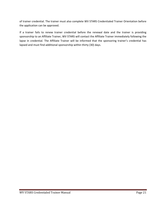of trainer credential. The trainer must also complete WV STARS Credentialed Trainer Orientation before the application can be approved.

If a trainer fails to renew trainer credential before the renewal date and the trainer is providing sponsorship to an Affiliate Trainer, WV STARS will contact the Affiliate Trainer immediately following the lapse in credential. The Affiliate Trainer will be informed that the sponsoring trainer's credential has lapsed and must find additional sponsorship within thirty (30) days.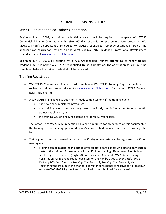### X. TRAINER RESPONSIBILITIES

#### WV STARS Credentialed Trainer Orientation

Beginning July 1, 2009, all trainer credential applicants will be required to complete WV STARS Credentialed Trainer Orientation within sixty (60) days of application processing. Upon processing, WV STARS will notify an applicant of scheduled WV STARS Credentialed Trainer Orientations offered or the applicant can search for sessions on the West Virginia Early Childhood Professional Development Calendar found at www.wvearlychildhood.org.

Beginning July 1, 2009, all existing WV STARS Credentialed Trainers attempting to renew trainer credential must complete WV STARS Credentialed Trainer Orientation. The orientation session must be completed before the trainer credential will be renewed.

#### Training Registration

- WV STARS Credentialed Trainer must complete a WV STARS Training Registration Form to register a training session. (Refer to www.wvearlychildhood.org for the WV STARS Training Registration Form).
- A WV STARS Training Registration Form needs completed only if the training event
	- has never been registered previously;
	- the training event has been registered previously but information, training length, trainer has changed; or
	- the training was originally registered over three (3) years prior.
- The signature of WV STARS Credentialed Trainer is required for acceptance of this document. If the training session is being sponsored by a Master/Certified Trainer, that trainer must sign the form.
- Training held over the course of more than one (1) day or in a series can be registered one (1) of two (2) ways:
	- Training can be registered in parts to offer credit to participants who attend only certain parts of the training. For example, a forty (40) hour training offered over five (5) days can be registered in five (5) eight (8)‐hour sessions. A separate WV STARS Training Registration Form is required for each session and can be titled *Training Title Part 1, Training Title Part 2*, etc. or *Training Title Session 1*, *Training Title Session 2*, etc. Registering the training in this manner allows for participants to receive partial credit. A separate WV STARS Sign-In Sheet is required to be submitted for each session.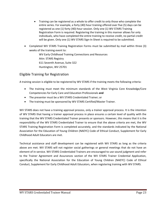- Training can be registered as a whole to offer credit to only those who complete the entire series. For example, a forty (40) hour training offered over five (5) days can be registered as one (1) forty (40)‐hour session. Only one (1) WV STARS Training Registration Form is required. Registering the training in this manner allows for only individuals, who have completed the entire training to receive credit, no partial credit will be given. Only one (1) WV STARS Sign-In Sheet is required to be submitted.
- Completed WV STARS Training Registration Forms must be submitted by mail within three (3) weeks of the training event to:

WV Early Childhood Training Connections and Resources Attn: STARS Registry 611 Seventh Avenue, Suite 322 Huntington, WV 25701

# Eligible Training for Registration

A training session is eligible to be registered by WV STARS if the training meets the following criteria:

- The training must meet the minimum standards of the West Virginia Core Knowledge/Core Competencies for Early Care and Education Professionals **and**
- The presenter must be a WV STARS Credentialed Trainer; or
- The training must be sponsored by WV STARS Certified/Master Trainer.

WV STARS does not have a training approval process, only a *trainer* approval process. It is the intention of WV STARS that having a trainer approval process in place ensures a certain level of quality with the training that the WV STARS Credentialed Trainer presents or sponsors. However, this means that it is the responsibility of the WV STARS Credentialed Trainer to ensure that the above criteria are met, the WV STARS Training Registration Form is completed accurately, and the standards indicated by the National Association for the Education of Young Children (NAEYC) Code of Ethical Conduct, Supplement for Early Childhood Adult Educators are met.

Technical assistance and staff development can be registered with WV STARS as long as the criteria above are met. WV STARS will not register social gatherings or general meetings that do not have an element of in‐service. WV STARS Credentialed Trainers are encouraged to use sound judgment and refer to the Trainer Agreement and Assurances section of the WV STARS Trainer Credential Application, specifically the National Association for the Education of Young Children (NAEYC) Code of Ethical Conduct, Supplement for Early Childhood Adult Educators, when registering training with WV STARS.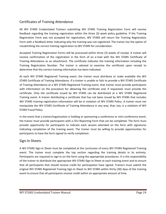# Certificates of Training Attendance

All WV STARS Credentialed Trainers submitting WV STARS Training Registration Form will receive feedback regarding the training registration within the three (3) week policy guideline. If the Training Registration Form was not accepted for registration, WV STARS will return the Training Registration Form with a feedback letter indicating why the training was not registered. The trainer has the option of resubmitting the correct training registration to WV STARS for consideration.

Accepted Training Registration Forms will be processed within three (3) weeks of receipt. A trainer will receive confirmation of the registration in the form of an e-mail with the WV STARS Certificate of Training Attendance as an attachment. The certificate indicates the training information including the Training Registration Number. The trainer is advised to examine the certificate upon receipt to determine that the correct training information has been indicated.

At each WV STARS Registered Training event, the trainer must distribute or make available the WV STARS Certificate of Training Attendance. If a trainer is unable or fails to provide a WV STARS Certificate of Training Attendance at a WV STARS Registered Training event, that trainer must provide participants with information on the procedure for obtaining the certificate and, if requested, must provide the certificate. Only the certificate issued by WV STARS can be distributed at a WV STARS Registered Training event. A trainer distributing a certificate that has not been issued by WV STARS that includes WV STARS training registration information will be in violation of WV STARS Policy. A trainer must not manipulate the WV STARS Certificate of Training Attendance in any way; that, too, is a violation of WV STARS Fraud Policy.

In the event that a trainer/organization is holding or sponsoring a conference or mini‐conference event, the trainer must provide participants with a CEU Reporting Form that can be completed. The form must provide opportunity for participants to indicate each session attended on the form with signatures indicating completion of the training event. The trainer must be willing to provide opportunities for participants to have the form signed to verify completion.

#### Sign‐In Sheets

A WV STARS Sign‐In Sheet must be completed at the conclusion of every WV STARS Registered Training event. The trainer must complete the top section regarding the training details in its entirety. Participants are required to sign-in on the form using the appropriate procedures. It is the responsibility of the trainer to distribute the appropriate WV STARS Sign-In Sheet at each training event and to ensure that all participants that should receive credit for participation have signed. Trainers must submit the original WV STARS Registered Training Sign‐In Sheet to WV STARS within thirty (30) days of the training event to ensure that all participants receive credit within an appropriate amount of time.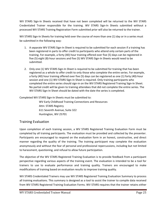WV STARS Sign-In Sheets received that have not been completed will be returned to the WV STARS Credentialed Trainer responsible for the training. WV STARS Sign-In Sheets submitted without a processed WV STARS Training Registration Form submitted prior will also be returned to the trainer.

WV STARS Sign-In Sheets for training held over the course of more than one (1) day or in a series must be submitted in the following way:

- 1. A separate WV STARS Sign-In Sheet is required to be submitted for each session if a training has been registered in parts to offer credit to participants who attend only certain parts of the training. For example, a forty (40) hour training offered over five (5) days can be registered in five (5) eight (8)‐hour sessions and five (5) WV STARS Sign‐In Sheets would need to be submitted.
- 2. Only one (1) WV STARS Sign-In Sheet is required to be submitted for training that has been registered as a whole to offer credit to only those who complete the entire series. For example, a forty (40) hour training offered over five (5) days can be registered as one (1) forty (40)‐hour session and one (1) WV STARS Sign-In Sheet is required. Only training participants who completed the entire series should sign-in on the WV STARS Registered Training Sign-In Sheet. No partial credit will be given to training attendees that did not complete the entire series. The WV STARS Sign-In Sheet should be dated with the date the series is completed.

Completed WV STARS Sign-In Sheets must be submitted to:

WV Early Childhood Training Connections and Resources Attn: STARS Registry 611 Seventh Avenue, Suite 322 Huntington, WV 25701

# Training Evaluation

Upon completion of each training session, a WV STARS Registered Training Evaluation Form must be completed by all training participants. The evaluation must be provided and collected by the presenter. Participants are encouraged to respond on the evaluation form in an honest, constructive, and direct manner regarding the quality of the training. The training participant may complete the evaluation anonymously and without the fear of personal and professional repercussions, including but not limited to harassment, questioning, and refusal to allow future participation.

The objective of the WV STARS Registered Training Evaluation is to provide feedback from a participant perspective regarding various aspects of the training event. The evaluation is intended to be a tool for trainers to use to evaluate performance and training quality. Trainers are encouraged to make modifications of training based on evaluation results to improve training quality.

WV STARS Credentialed Trainers may use WV STARS Registered Training Evaluation Summary to process all training evaluations. This summary is designed as a tool to assist the trainer to compile data received from WV STARS Registered Training Evaluation Forms. WV STARS requires that the trainer retains either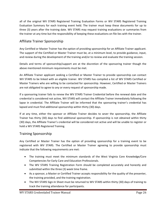all of the original WV STARS Registered Training Evaluation Forms or WV STARS Registered Training Evaluation Summary for each training event held. The trainer must keep these documents for up to three (3) years after the training date. WV STARS may request training evaluations or summaries from the trainer at any time but the responsibility of keeping these evaluations on file lies with the trainer.

# Affiliate Trainer Sponsorship

Any Certified or Master Trainer has the option of providing sponsorship for an Affiliate Trainer applicant. The support of the Certified or Master Trainer must be, at a minimum level, to provide guidance, input, and review during the development of the training and/or to review and evaluate the training session.

Details and terms of sponsorship/support are at the discretion of the sponsoring trainer though the above mentioned minimum requirements must be met.

An Affiliate Trainer applicant seeking a Certified or Master Trainer to provide sponsorship can contact WV STARS to be linked with an eligible trainer. WV STARS has compiled a list of WV STARS Certified or Master Trainers who are willing to be contacted for sponsorship. However, Certified or Master Trainers are not obligated to agree to any or every request of sponsorship made.

If a sponsoring trainer fails to renew the WV STARS Trainer Credential before the renewal date and the credential is considered not active, WV STARS will contact the Affiliate Trainer immediately following the lapse in credential. The Affiliate Trainer will be informed that the sponsoring trainer's credential has lapsed and must find additional sponsorship within thirty (30) days.

If at any time, either the sponsor or Affiliate Trainer decides to sever the sponsorship, the Affiliate Trainer has thirty (30) days to find additional sponsorship. If sponsorship is not obtained within thirty (30) days, the Affiliate Trainer's credential will be considered not active and will be unable to register or hold a WV STARS Registered Training.

## Training Sponsorship

Any Certified or Master Trainer has the option of providing sponsorship for a training event to be registered with WV STARS. The Certified or Master Trainer agreeing to provide sponsorship must indicate that the following requirements are met:

- The training must meet the minimum standards of the West Virginia Core Knowledge/Core Competencies for Early Care and Education Professionals.
- The WV STARS Training Registration Form should be completed accurately and honestly and submitted within the three (3) week time frame.
- As a sponsor, a Master or Certified Trainer accepts responsibility for the quality of the presenter, the training provided, and the training registration.
- The WV STARS Sign-In Sheet must be returned to WV STARS within thirty (30) days of training to track the training attendance for participants.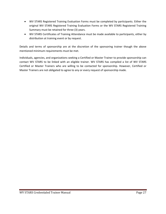- WV STARS Registered Training Evaluation Forms must be completed by participants. Either the original WV STARS Registered Training Evaluation Forms or the WV STARS Registered Training Summary must be retained for three (3) years.
- WV STARS Certificates of Training Attendance must be made available to participants, either by distribution at training event or by request.

Details and terms of sponsorship are at the discretion of the sponsoring trainer though the above mentioned minimum requirements must be met.

Individuals, agencies, and organizations seeking a Certified or Master Trainer to provide sponsorship can contact WV STARS to be linked with an eligible trainer. WV STARS has compiled a list of WV STARS Certified or Master Trainers who are willing to be contacted for sponsorship. However, Certified or Master Trainers are not obligated to agree to any or every request of sponsorship made.